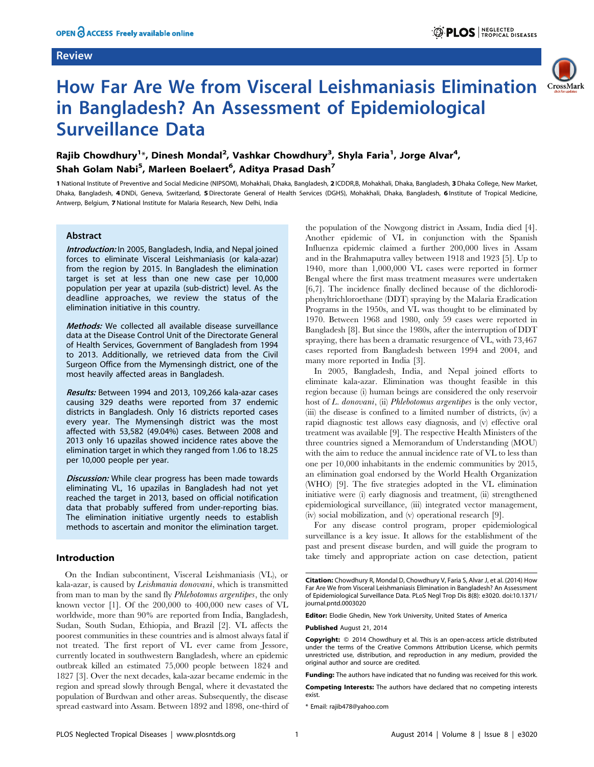## Review



# How Far Are We from Visceral Leishmaniasis Elimination in Bangladesh? An Assessment of Epidemiological Surveillance Data

## Rajib Chowdhury<sup>1</sup>\*, Dinesh Mondal<sup>2</sup>, Vashkar Chowdhury<sup>3</sup>, Shyla Faria<sup>1</sup>, Jorge Alvar<sup>4</sup>, Shah Golam Nabi<sup>5</sup>, Marleen Boelaert<sup>6</sup>, Aditya Prasad Dash<sup>7</sup>

1 National Institute of Preventive and Social Medicine (NIPSOM), Mohakhali, Dhaka, Bangladesh, 2 ICDDR,B, Mohakhali, Dhaka, Bangladesh, 3 Dhaka College, New Market, Dhaka, Bangladesh, 4DNDi, Geneva, Switzerland, 5Directorate General of Health Services (DGHS), Mohakhali, Dhaka, Bangladesh, 6 Institute of Tropical Medicine, Antwerp, Belgium, 7 National Institute for Malaria Research, New Delhi, India

## Abstract

Introduction: In 2005, Bangladesh, India, and Nepal joined forces to eliminate Visceral Leishmaniasis (or kala-azar) from the region by 2015. In Bangladesh the elimination target is set at less than one new case per 10,000 population per year at upazila (sub-district) level. As the deadline approaches, we review the status of the elimination initiative in this country.

Methods: We collected all available disease surveillance data at the Disease Control Unit of the Directorate General of Health Services, Government of Bangladesh from 1994 to 2013. Additionally, we retrieved data from the Civil Surgeon Office from the Mymensingh district, one of the most heavily affected areas in Bangladesh.

Results: Between 1994 and 2013, 109,266 kala-azar cases causing 329 deaths were reported from 37 endemic districts in Bangladesh. Only 16 districts reported cases every year. The Mymensingh district was the most affected with 53,582 (49.04%) cases. Between 2008 and 2013 only 16 upazilas showed incidence rates above the elimination target in which they ranged from 1.06 to 18.25 per 10,000 people per year.

**Discussion:** While clear progress has been made towards eliminating VL, 16 upazilas in Bangladesh had not yet reached the target in 2013, based on official notification data that probably suffered from under-reporting bias. The elimination initiative urgently needs to establish methods to ascertain and monitor the elimination target.

#### Introduction

On the Indian subcontinent, Visceral Leishmaniasis (VL), or kala-azar, is caused by Leishmania donovani, which is transmitted from man to man by the sand fly Phlebotomus argentipes, the only known vector [1]. Of the 200,000 to 400,000 new cases of VL worldwide, more than 90% are reported from India, Bangladesh, Sudan, South Sudan, Ethiopia, and Brazil [2]. VL affects the poorest communities in these countries and is almost always fatal if not treated. The first report of VL ever came from Jessore, currently located in southwestern Bangladesh, where an epidemic outbreak killed an estimated 75,000 people between 1824 and 1827 [3]. Over the next decades, kala-azar became endemic in the region and spread slowly through Bengal, where it devastated the population of Burdwan and other areas. Subsequently, the disease spread eastward into Assam. Between 1892 and 1898, one-third of

the population of the Nowgong district in Assam, India died [4]. Another epidemic of VL in conjunction with the Spanish Influenza epidemic claimed a further 200,000 lives in Assam and in the Brahmaputra valley between 1918 and 1923 [5]. Up to 1940, more than 1,000,000 VL cases were reported in former Bengal where the first mass treatment measures were undertaken [6,7]. The incidence finally declined because of the dichlorodiphenyltrichloroethane (DDT) spraying by the Malaria Eradication Programs in the 1950s, and VL was thought to be eliminated by 1970. Between 1968 and 1980, only 59 cases were reported in Bangladesh [8]. But since the 1980s, after the interruption of DDT spraying, there has been a dramatic resurgence of VL, with 73,467 cases reported from Bangladesh between 1994 and 2004, and many more reported in India [3].

In 2005, Bangladesh, India, and Nepal joined efforts to eliminate kala-azar. Elimination was thought feasible in this region because (i) human beings are considered the only reservoir host of L. donovani, (ii) Phlebotomus argentipes is the only vector, (iii) the disease is confined to a limited number of districts, (iv) a rapid diagnostic test allows easy diagnosis, and (v) effective oral treatment was available [9]. The respective Health Ministers of the three countries signed a Memorandum of Understanding (MOU) with the aim to reduce the annual incidence rate of VL to less than one per 10,000 inhabitants in the endemic communities by 2015, an elimination goal endorsed by the World Health Organization (WHO) [9]. The five strategies adopted in the VL elimination initiative were (i) early diagnosis and treatment, (ii) strengthened epidemiological surveillance, (iii) integrated vector management, (iv) social mobilization, and (v) operational research [9].

For any disease control program, proper epidemiological surveillance is a key issue. It allows for the establishment of the past and present disease burden, and will guide the program to take timely and appropriate action on case detection, patient

Editor: Elodie Ghedin, New York University, United States of America

Published August 21, 2014

Competing Interests: The authors have declared that no competing interests exist.

\* Email: rajib478@yahoo.com

Citation: Chowdhury R, Mondal D, Chowdhury V, Faria S, Alvar J, et al. (2014) How Far Are We from Visceral Leishmaniasis Elimination in Bangladesh? An Assessment of Epidemiological Surveillance Data. PLoS Negl Trop Dis 8(8): e3020. doi:10.1371/ journal.pntd.0003020

**Copyright:** © 2014 Chowdhury et al. This is an open-access article distributed under the terms of the [Creative Commons Attribution License,](http://creativecommons.org/licenses/by/4.0/) which permits unrestricted use, distribution, and reproduction in any medium, provided the original author and source are credited.

Funding: The authors have indicated that no funding was received for this work.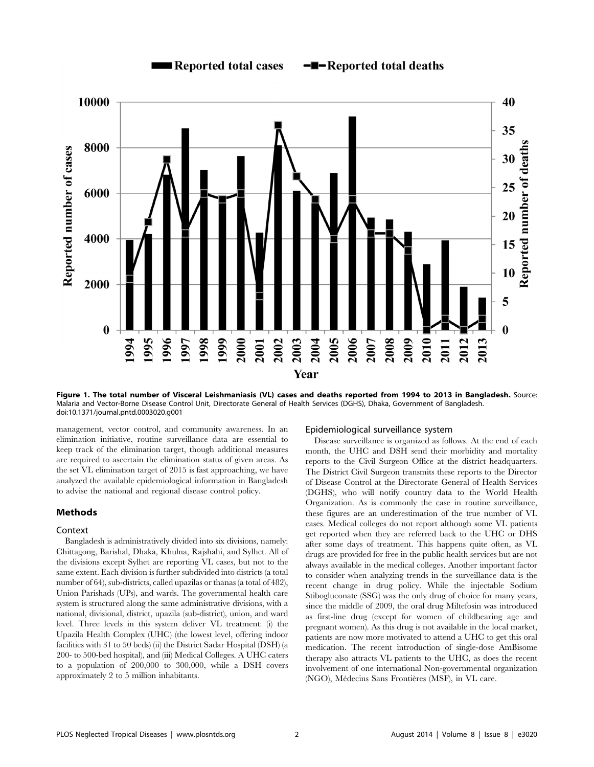

Figure 1. The total number of Visceral Leishmaniasis (VL) cases and deaths reported from 1994 to 2013 in Bangladesh. Source: Malaria and Vector-Borne Disease Control Unit, Directorate General of Health Services (DGHS), Dhaka, Government of Bangladesh. doi:10.1371/journal.pntd.0003020.g001

management, vector control, and community awareness. In an elimination initiative, routine surveillance data are essential to keep track of the elimination target, though additional measures are required to ascertain the elimination status of given areas. As the set VL elimination target of 2015 is fast approaching, we have analyzed the available epidemiological information in Bangladesh to advise the national and regional disease control policy.

## Methods

#### Context

Bangladesh is administratively divided into six divisions, namely: Chittagong, Barishal, Dhaka, Khulna, Rajshahi, and Sylhet. All of the divisions except Sylhet are reporting VL cases, but not to the same extent. Each division is further subdivided into districts (a total number of 64), sub-districts, called upazilas or thanas (a total of 482), Union Parishads (UPs), and wards. The governmental health care system is structured along the same administrative divisions, with a national, divisional, district, upazila (sub-district), union, and ward level. Three levels in this system deliver VL treatment: (i) the Upazila Health Complex (UHC) (the lowest level, offering indoor facilities with 31 to 50 beds) (ii) the District Sadar Hospital (DSH) (a 200- to 500-bed hospital), and (iii) Medical Colleges. A UHC caters to a population of 200,000 to 300,000, while a DSH covers approximately 2 to 5 million inhabitants.

#### Epidemiological surveillance system

Disease surveillance is organized as follows. At the end of each month, the UHC and DSH send their morbidity and mortality reports to the Civil Surgeon Office at the district headquarters. The District Civil Surgeon transmits these reports to the Director of Disease Control at the Directorate General of Health Services (DGHS), who will notify country data to the World Health Organization. As is commonly the case in routine surveillance, these figures are an underestimation of the true number of VL cases. Medical colleges do not report although some VL patients get reported when they are referred back to the UHC or DHS after some days of treatment. This happens quite often, as VL drugs are provided for free in the public health services but are not always available in the medical colleges. Another important factor to consider when analyzing trends in the surveillance data is the recent change in drug policy. While the injectable Sodium Stibogluconate (SSG) was the only drug of choice for many years, since the middle of 2009, the oral drug Miltefosin was introduced as first-line drug (except for women of childbearing age and pregnant women). As this drug is not available in the local market, patients are now more motivated to attend a UHC to get this oral medication. The recent introduction of single-dose AmBisome therapy also attracts VL patients to the UHC, as does the recent involvement of one international Non-governmental organization (NGO), Médecins Sans Frontières (MSF), in VL care.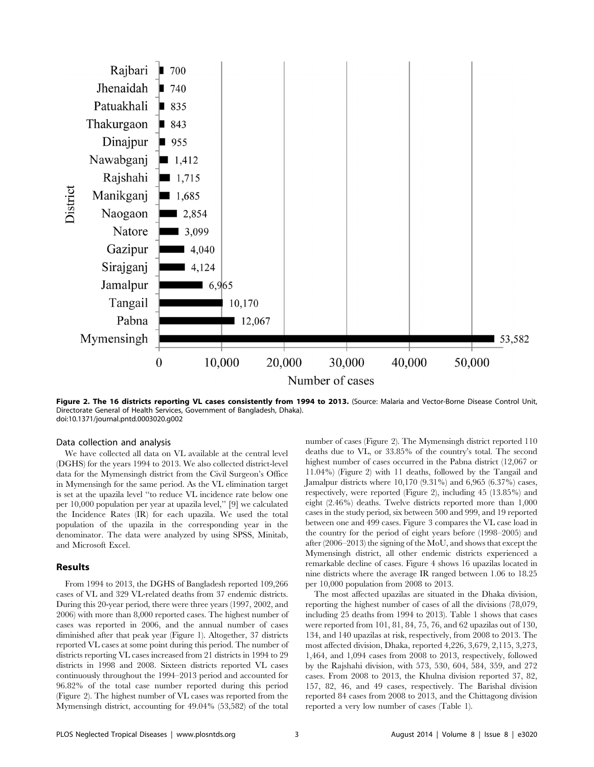

Figure 2. The 16 districts reporting VL cases consistently from 1994 to 2013. (Source: Malaria and Vector-Borne Disease Control Unit, Directorate General of Health Services, Government of Bangladesh, Dhaka). doi:10.1371/journal.pntd.0003020.g002

#### Data collection and analysis

We have collected all data on VL available at the central level (DGHS) for the years 1994 to 2013. We also collected district-level data for the Mymensingh district from the Civil Surgeon's Office in Mymensingh for the same period. As the VL elimination target is set at the upazila level ''to reduce VL incidence rate below one per 10,000 population per year at upazila level,'' [9] we calculated the Incidence Rates (IR) for each upazila. We used the total population of the upazila in the corresponding year in the denominator. The data were analyzed by using SPSS, Minitab, and Microsoft Excel.

#### Results

From 1994 to 2013, the DGHS of Bangladesh reported 109,266 cases of VL and 329 VL-related deaths from 37 endemic districts. During this 20-year period, there were three years (1997, 2002, and 2006) with more than 8,000 reported cases. The highest number of cases was reported in 2006, and the annual number of cases diminished after that peak year (Figure 1). Altogether, 37 districts reported VL cases at some point during this period. The number of districts reporting VL cases increased from 21 districts in 1994 to 29 districts in 1998 and 2008. Sixteen districts reported VL cases continuously throughout the 1994–2013 period and accounted for 96.82% of the total case number reported during this period (Figure 2). The highest number of VL cases was reported from the Mymensingh district, accounting for 49.04% (53,582) of the total number of cases (Figure 2). The Mymensingh district reported 110 deaths due to VL, or 33.85% of the country's total. The second highest number of cases occurred in the Pabna district  $(12,067)$  or 11.04%) (Figure 2) with 11 deaths, followed by the Tangail and Jamalpur districts where 10,170 (9.31%) and 6,965 (6.37%) cases, respectively, were reported (Figure 2), including 45 (13.85%) and eight (2.46%) deaths. Twelve districts reported more than 1,000 cases in the study period, six between 500 and 999, and 19 reported between one and 499 cases. Figure 3 compares the VL case load in the country for the period of eight years before (1998–2005) and after (2006–2013) the signing of the MoU, and shows that except the Mymensingh district, all other endemic districts experienced a remarkable decline of cases. Figure 4 shows 16 upazilas located in nine districts where the average IR ranged between 1.06 to 18.25 per 10,000 population from 2008 to 2013.

The most affected upazilas are situated in the Dhaka division, reporting the highest number of cases of all the divisions (78,079, including 25 deaths from 1994 to 2013). Table 1 shows that cases were reported from 101, 81, 84, 75, 76, and 62 upazilas out of 130, 134, and 140 upazilas at risk, respectively, from 2008 to 2013. The most affected division, Dhaka, reported 4,226, 3,679, 2,115, 3,273, 1,464, and 1,094 cases from 2008 to 2013, respectively, followed by the Rajshahi division, with 573, 530, 604, 584, 359, and 272 cases. From 2008 to 2013, the Khulna division reported 37, 82, 157, 82, 46, and 49 cases, respectively. The Barishal division reported 84 cases from 2008 to 2013, and the Chittagong division reported a very low number of cases (Table 1).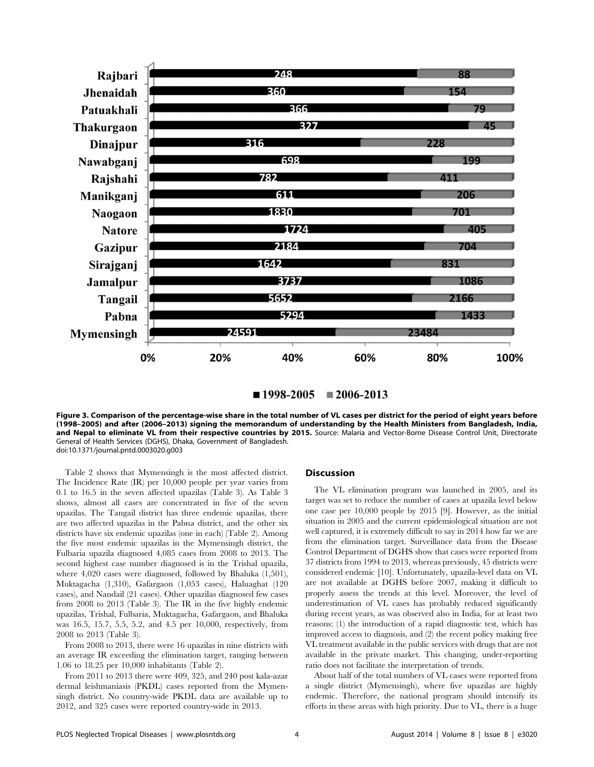

 $1998-2005$   $\equiv$  2006-2013

Figure 3. Comparison of the percentage-wise share in the total number of VL cases per district for the period of eight years before (1998–2005) and after (2006–2013) signing the memorandum of understanding by the Health Ministers from Bangladesh, India, and Nepal to eliminate VL from their respective countries by 2015. Source: Malaria and Vector-Borne Disease Control Unit, Directorate General of Health Services (DGHS), Dhaka, Government of Bangladesh. doi:10.1371/journal.pntd.0003020.g003

Table 2 shows that Mymensingh is the most affected district. The Incidence Rate (IR) per 10,000 people per year varies from 0.1 to 16.5 in the seven affected upazilas (Table 3). As Table 3 shows, almost all cases are concentrated in five of the seven upazilas. The Tangail district has three endemic upazilas, there are two affected upazilas in the Pabna district, and the other six districts have six endemic upazilas (one in each) (Table 2). Among the five most endemic upazilas in the Mymensingh district, the Fulbaria upazila diagnosed 4,085 cases from 2008 to 2013. The second highest case number diagnosed is in the Trishal upazila, where 4,020 cases were diagnosed, followed by Bhaluka (1,501), Muktagacha (1,310), Gafargaon (1,053 cases), Haluaghat (120 cases), and Nandail (21 cases). Other upazilas diagnosed few cases from 2008 to 2013 (Table 3). The IR in the five highly endemic upazilas, Trishal, Fulbaria, Muktagacha, Gafargaon, and Bhaluka was 16.5, 15.7, 5.5, 5.2, and 4.5 per 10,000, respectively, from 2008 to 2013 (Table 3).

From 2008 to 2013, there were 16 upazilas in nine districts with an average IR exceeding the elimination target, ranging between 1.06 to 18.25 per 10,000 inhabitants (Table 2).

From 2011 to 2013 there were 409, 325, and 240 post kala-azar dermal leishmaniasis (PKDL) cases reported from the Mymensingh district. No country-wide PKDL data are available up to 2012, and 325 cases were reported country-wide in 2013.

#### Discussion

The VL elimination program was launched in 2005, and its target was set to reduce the number of cases at upazila level below one case per 10,000 people by 2015 [9]. However, as the initial situation in 2005 and the current epidemiological situation are not well captured, it is extremely difficult to say in 2014 how far we are from the elimination target. Surveillance data from the Disease Control Department of DGHS show that cases were reported from 37 districts from 1994 to 2013, whereas previously, 45 districts were considered endemic [10]. Unfortunately, upazila-level data on VL are not available at DGHS before 2007, making it difficult to properly assess the trends at this level. Moreover, the level of underestimation of VL cases has probably reduced significantly during recent years, as was observed also in India, for at least two reasons: (1) the introduction of a rapid diagnostic test, which has improved access to diagnosis, and (2) the recent policy making free VL treatment available in the public services with drugs that are not available in the private market. This changing, under-reporting ratio does not facilitate the interpretation of trends.

About half of the total numbers of VL cases were reported from a single district (Mymensingh), where five upazilas are highly endemic. Therefore, the national program should intensify its efforts in these areas with high priority. Due to VL, there is a huge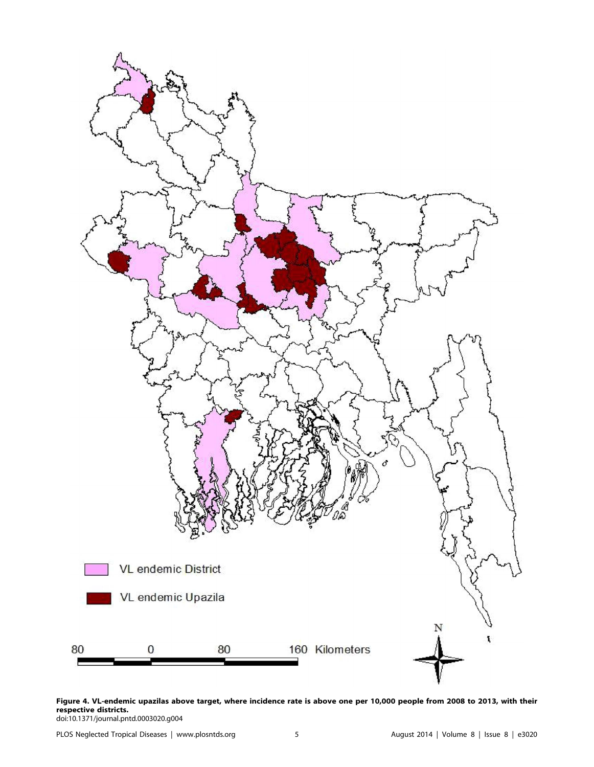

Figure 4. VL-endemic upazilas above target, where incidence rate is above one per 10,000 people from 2008 to 2013, with their respective districts. doi:10.1371/journal.pntd.0003020.g004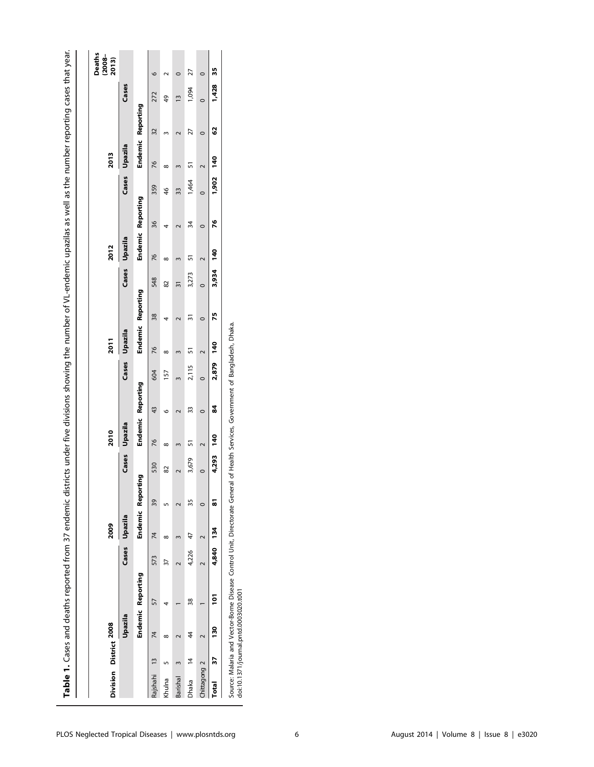|                        |                |          |                   |           |                  |    |         |               |                   |         |               | Table 1. Cases and deaths reported from 37 endemic districts under five divisions showing the number of VL-endemic upazilas as well as the number reporting cases that year. |               |                   |                          |               |         |                   |       |                                |
|------------------------|----------------|----------|-------------------|-----------|------------------|----|---------|---------------|-------------------|---------|---------------|------------------------------------------------------------------------------------------------------------------------------------------------------------------------------|---------------|-------------------|--------------------------|---------------|---------|-------------------|-------|--------------------------------|
| Division District 2008 |                |          |                   |           | 2009             |    |         | 2010          |                   |         | 2011          |                                                                                                                                                                              |               | 2012              |                          | 2013          |         |                   |       | Deaths<br>$(2008 -$<br>$2013)$ |
|                        |                | Upazila  |                   |           | Cases Upazila    |    |         | Cases Upazila |                   |         | Cases Upazila |                                                                                                                                                                              | Cases Upazila |                   |                          | Cases Upazila |         |                   | Cases |                                |
|                        |                |          | Endemic Reporting |           | Endemic Reportir | ā  |         |               | Endemic Reporting |         |               | Endemic Reporting                                                                                                                                                            |               | Endemic Reporting |                          |               |         | Endemic Reporting |       |                                |
| Rajshahi               | $\frac{13}{2}$ | 74       | 57                | 573       | 74               | 39 | 530     | 76            | 43                | 604     | 76            | 548<br>38                                                                                                                                                                    | 76            |                   | 359<br>36                | 76            |         | 32                | 272   | $\circ$                        |
| Khulna                 |                | $\infty$ |                   | 37        | $\infty$         |    | 82      | $^{\circ}$    | o                 | 157     | ∞             | 82<br>4                                                                                                                                                                      | $\infty$      | 4                 | 46                       | $\infty$      |         | ę,                |       |                                |
| Barishal               |                |          |                   |           |                  |    |         |               |                   |         |               | 51                                                                                                                                                                           |               |                   | 33                       |               |         | $\bar{1}$         |       |                                |
| Dhaka                  | $\overline{4}$ | 4        | 38                | 4,226     | 47               | 35 | 3,679   | 57            | 33                | 2,115   | ភ             | ౖ                                                                                                                                                                            | 5<br>3,273    |                   | 1,464<br>34              | ភ             |         | 27                | 1,094 | 27                             |
| Chittagong 2           |                |          |                   |           |                  |    | $\circ$ |               | $\circ$           | $\circ$ |               | $\bullet$<br>$\circ$                                                                                                                                                         |               | $\circ$           | $\overline{\phantom{0}}$ |               | $\circ$ | $\circ$           |       |                                |
| Total                  | 57             | 130      | 101               | 4,840 134 |                  | 51 | 4,293   | 140           | 3                 | 2,879   | 140           | 75                                                                                                                                                                           | 3,934 140     |                   | 26                       | 1,902 140     |         | 3                 | 1,428 | 35                             |

Source: Malaria and Vector-Borne Disease Control Unit, Directorate General of Health Services, Government of Bangladesh, Dhaka.<br>doi:10.1371/journal.pntd.0003020.t001 Source: Malaria and Vector-Borne Disease Control Unit, Directorate General of Health Services, Government of Bangladesh, Dhaka.

doi:10.1371/journal.pntd.0003020.t001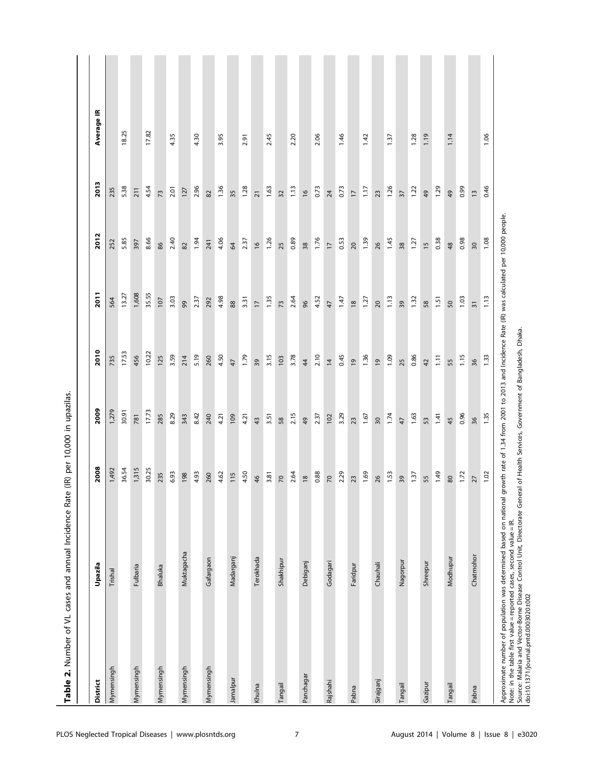| Table 2. Number of VL cases and annual Incidence Rate                                                                                                                                                                                                                                                                                                                                                                |            | (IR) per 10,000 in upazilas. |       |                |                |                |                 |            |
|----------------------------------------------------------------------------------------------------------------------------------------------------------------------------------------------------------------------------------------------------------------------------------------------------------------------------------------------------------------------------------------------------------------------|------------|------------------------------|-------|----------------|----------------|----------------|-----------------|------------|
|                                                                                                                                                                                                                                                                                                                                                                                                                      |            |                              |       |                |                |                |                 |            |
| <b>District</b>                                                                                                                                                                                                                                                                                                                                                                                                      | Upazila    | 2008                         | 2009  | 2010           | 2011           | 2012           | 2013            | Average IR |
| Mymensingh                                                                                                                                                                                                                                                                                                                                                                                                           | Trishal    | 1,492                        | 1,279 | 735            | 564            | 252            | 235             |            |
|                                                                                                                                                                                                                                                                                                                                                                                                                      |            | 36.54                        | 30.91 | 17.53          | 13.27          | 5.85           | 5.38            | 18.25      |
| Mymensingh                                                                                                                                                                                                                                                                                                                                                                                                           | Fulbaria   | 1,315                        | 781   | 456            | 1,608          | 397            | 211             |            |
|                                                                                                                                                                                                                                                                                                                                                                                                                      |            | 30.25                        | 17.73 | 10.22          | 35.55          | 8.66           | 4.54            | 17.82      |
| Mymensingh                                                                                                                                                                                                                                                                                                                                                                                                           | Bhaluka    | 235                          | 285   | 125            | 107            | 86             | 73              |            |
|                                                                                                                                                                                                                                                                                                                                                                                                                      |            | 6.93                         | 8.29  | 3.59           | 3.03           | 2.40           | 2.01            | 4.35       |
| Mymensingh                                                                                                                                                                                                                                                                                                                                                                                                           | Muktagacha | 198                          | 343   | 214            | 99             | $82$           | 127             |            |
|                                                                                                                                                                                                                                                                                                                                                                                                                      |            | 4.93                         | 8.42  | 5.19           | 2.37           | 1.94           | 2.96            | 4.30       |
| Mymensingh                                                                                                                                                                                                                                                                                                                                                                                                           | Gafargaon  | 260                          | 240   | 260            | 292            | 241            | $82$            |            |
|                                                                                                                                                                                                                                                                                                                                                                                                                      |            | 4.62                         | 4.21  | 4.50           | 4.98           | 4.06           | 1.36            | 3.95       |
| Jamalpur                                                                                                                                                                                                                                                                                                                                                                                                             | Madarganj  | <b>115</b>                   | 109   | 47             | 88             | $\mathcal{R}$  | 35              |            |
|                                                                                                                                                                                                                                                                                                                                                                                                                      |            | 4.50                         | 4.21  | 1.79           | 3.31           | 2.37           | 1.28            | 2.91       |
| Khulna                                                                                                                                                                                                                                                                                                                                                                                                               | Terokhada  | 46                           | 43    | 39             | $\overline{1}$ | $\frac{9}{2}$  | $\overline{21}$ |            |
|                                                                                                                                                                                                                                                                                                                                                                                                                      |            | 3.81                         | 3.51  | 3.15           | 1.35           | 1.26           | 1.63            | 2.45       |
| Tangail                                                                                                                                                                                                                                                                                                                                                                                                              | Shakhipur  | $\overline{\mathcal{R}}$     | 58    | 103            | 73             | 25             | 32              |            |
|                                                                                                                                                                                                                                                                                                                                                                                                                      |            | 2.64                         | 2.15  | 3.78           | 2.64           | 0.89           | 1.13            | 2.20       |
| Panchagar                                                                                                                                                                                                                                                                                                                                                                                                            | Debiganj   | $\frac{8}{2}$                | 49    | $\frac{4}{3}$  | 96             | 38             | $\frac{6}{2}$   |            |
|                                                                                                                                                                                                                                                                                                                                                                                                                      |            | 0.88                         | 2.37  | 2.10           | 4.52           | 1.76           | 0.73            | 2.06       |
| Rajshahi                                                                                                                                                                                                                                                                                                                                                                                                             | Godagari   | $\sim$                       | 102   | $\overline{4}$ | 47             | $\overline{1}$ | 24              |            |
|                                                                                                                                                                                                                                                                                                                                                                                                                      |            | 2.29                         | 3.29  | 0.45           | 1.47           | 0.53           | 0.73            | 1.46       |
| Pabna                                                                                                                                                                                                                                                                                                                                                                                                                | Faridpur   | 23                           | 23    | $\overline{6}$ | $\frac{8}{2}$  | 20             | $\overline{17}$ |            |
|                                                                                                                                                                                                                                                                                                                                                                                                                      |            | 1.69                         | 1.67  | 1.36           | 1.27           | 1.39           | 1.17            | 1.42       |
| Sirajganj                                                                                                                                                                                                                                                                                                                                                                                                            | Chauhali   | 26                           | 30    | $\overline{6}$ | 20             | 26             | 23              |            |
|                                                                                                                                                                                                                                                                                                                                                                                                                      |            | 1.53                         | 1.74  | 1.09           | 1.13           | 1.45           | 1.26            | 1.37       |
| Tangail                                                                                                                                                                                                                                                                                                                                                                                                              | Nagorpur   | 39                           | 47    | 25             | 39             | 38             | $\overline{37}$ |            |
|                                                                                                                                                                                                                                                                                                                                                                                                                      |            | 1.37                         | 1.63  | 0.86           | 1.32           | 1.27           | 1.22            | 1.28       |
| Gazipur                                                                                                                                                                                                                                                                                                                                                                                                              | Shreepur   | 55                           | 53    | 42             | 58             | $\overline{1}$ | 49              | 1.19       |
|                                                                                                                                                                                                                                                                                                                                                                                                                      |            | 1.49                         | 1,41  | $1.11$         | 1.51           | 0.38           | 1.29            |            |
| Tangail                                                                                                                                                                                                                                                                                                                                                                                                              | Modhupur   | $80\,$                       | 45    | 55             | 50             | $48$           | $^{49}$         | 1.14       |
|                                                                                                                                                                                                                                                                                                                                                                                                                      |            | 1.72                         | 0.96  | 1.15           | 1.03           | 0.98           | 0.99            |            |
| Pabna                                                                                                                                                                                                                                                                                                                                                                                                                | Chatmohor  | 27                           | 36    | 36             | $\overline{3}$ | 30             | $\frac{3}{2}$   |            |
|                                                                                                                                                                                                                                                                                                                                                                                                                      |            | 1.02                         | 1.35  | 1.33           | 1.13           | 1.08           | 0.46            | 1.06       |
| Approximate number of population was determined based on national growth rate of 1.34 from 2001 to 2013 and Incidence Rate (IR) was calculated per 10,000 people.<br>Source: Malaria and Vector-Borne Disease Control Unit, Directorate General of Health Services, Government of Bangladesh, Dhaka.<br>Note: in the table first value = reported cases, second value = IR.<br>doi:10.1371/journal.pntd.0003020.t002 |            |                              |       |                |                |                |                 |            |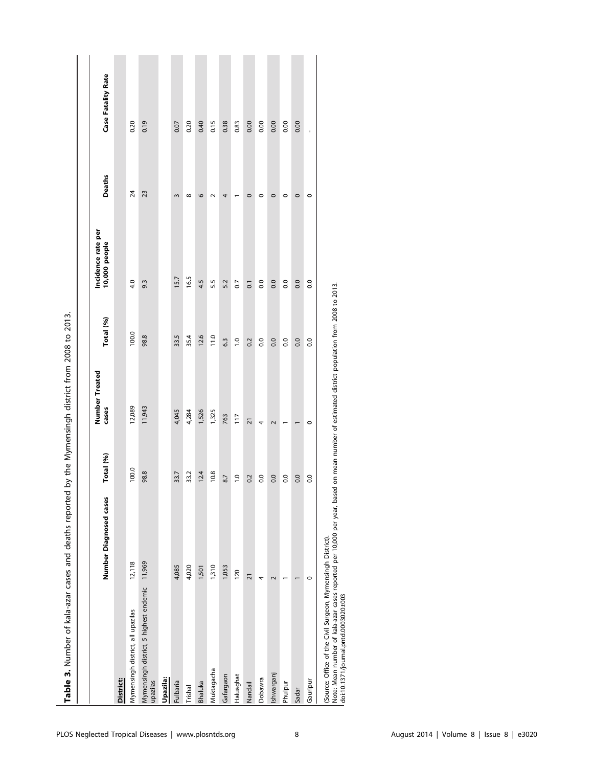| Table 3. Number of kala-azar cases and deaths reported                                                                                                                                                                                              |                        |                  | by the Mymensingh district from 2008 to 2013. |                  |                                     |               |                           |
|-----------------------------------------------------------------------------------------------------------------------------------------------------------------------------------------------------------------------------------------------------|------------------------|------------------|-----------------------------------------------|------------------|-------------------------------------|---------------|---------------------------|
|                                                                                                                                                                                                                                                     | Number Diagnosed cases | Total (%)        | Number Treated<br>cases                       | Total (%)        | Incidence rate per<br>10,000 people | <b>Deaths</b> | <b>Case Fatality Rate</b> |
| District:                                                                                                                                                                                                                                           |                        |                  |                                               |                  |                                     |               |                           |
| Mymensingh district, all upazilas                                                                                                                                                                                                                   | 12,118                 | 100.0            | 12,089                                        | 100.0            | 4.0                                 | 24            | 0.20                      |
| Mymensingh district, 5 highest endemic<br>upazilas                                                                                                                                                                                                  | 11,969                 | 98.8             | 11,943                                        | 98.8             | 9.3                                 | 23            | 0.19                      |
| Upazila:                                                                                                                                                                                                                                            |                        |                  |                                               |                  |                                     |               |                           |
| Fulbaria                                                                                                                                                                                                                                            | 4,085                  | 33.7             | 4,045                                         | 33.5             | 15.7                                | $\mathsf{S}$  | 0.07                      |
| Trishal                                                                                                                                                                                                                                             | 4,020                  | 33.2             | 4,284                                         | 35.4             | 16.5                                | $\infty$      | 0.20                      |
| <b>Bhaluka</b>                                                                                                                                                                                                                                      | 1,501                  | 12.4             | 1,526                                         | 12.6             | 4.5                                 | $\circ$       | 0.40                      |
| Muktagacha                                                                                                                                                                                                                                          | 1,310                  | 10.8             | 1,325                                         | 11.0             | 5.5                                 | $\sim$        | 0.15                      |
| Gafargaon                                                                                                                                                                                                                                           | 1,053                  | 8.7              | 763                                           | 6.3              | 5.2                                 | 4             | 0.38                      |
| Haluaghat                                                                                                                                                                                                                                           | 120                    | $\overline{1.0}$ | 117                                           | $\overline{1.0}$ | 0.7                                 |               | 0.83                      |
| Nandail                                                                                                                                                                                                                                             | $\overline{21}$        | 0.2              | $\overline{21}$                               | 0.2              | $\overline{0}$                      | $\circ$       | 0.00                      |
| Dobawra                                                                                                                                                                                                                                             | 4                      | 0.0              | 4                                             | 0.0              | 0.0                                 | $\circ$       | 0.00                      |
| Ishwarganj                                                                                                                                                                                                                                          | $\sim$                 | 0.0              | $\sim$                                        | 0.0              | 0.0                                 | $\circ$       | 0.00                      |
| Phulpur                                                                                                                                                                                                                                             |                        | $\overline{0}$   |                                               | 0.0              | $\overline{0}$                      | $\circ$       | 0.00                      |
| Sadar                                                                                                                                                                                                                                               |                        | 0.0              |                                               | 0.0              | 0.0                                 | $\circ$       | 0.00                      |
| Gauripur                                                                                                                                                                                                                                            | $\circ$                | $\overline{0}$   | $\circ$                                       | 0.0              | 0.0                                 | $\circ$       |                           |
| Note: Mean number of kala-azar cases reported per 10,000 per year, based on mean number of estimated district population from 2008 to 2013.<br>(Source: Office of the Civil Surgeon, Mymensingh District).<br>doi:10.1371/journal.pntd.0003020.t003 |                        |                  |                                               |                  |                                     |               |                           |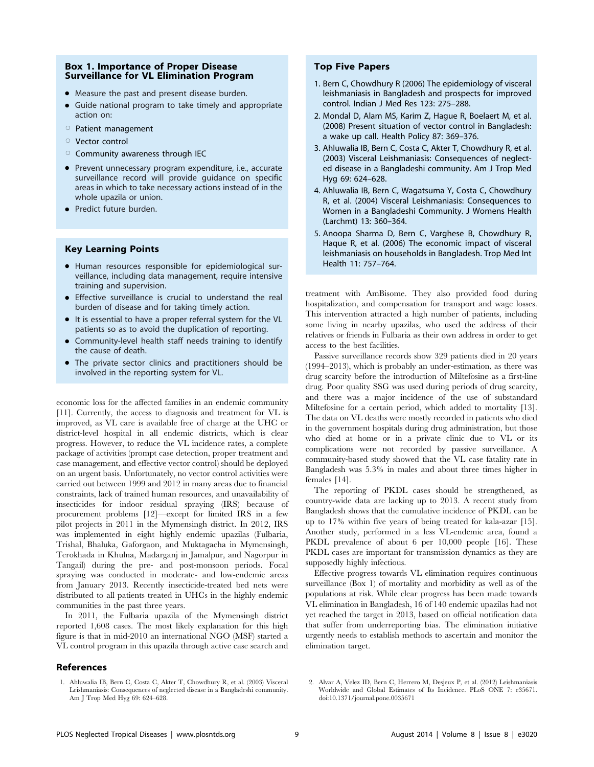#### Box 1. Importance of Proper Disease Surveillance for VL Elimination Program

- Measure the past and present disease burden.
- Guide national program to take timely and appropriate action on:
- $\circ$  Patient management
- $\circ$  Vector control
- $\circ$  Community awareness through IEC
- Prevent unnecessary program expenditure, i.e., accurate surveillance record will provide guidance on specific areas in which to take necessary actions instead of in the whole upazila or union.
- Predict future burden.

## Key Learning Points

- Human resources responsible for epidemiological surveillance, including data management, require intensive training and supervision.
- Effective surveillance is crucial to understand the real burden of disease and for taking timely action.
- It is essential to have a proper referral system for the VL patients so as to avoid the duplication of reporting.
- Community-level health staff needs training to identify the cause of death.
- The private sector clinics and practitioners should be involved in the reporting system for VL.

economic loss for the affected families in an endemic community [11]. Currently, the access to diagnosis and treatment for VL is improved, as VL care is available free of charge at the UHC or district-level hospital in all endemic districts, which is clear progress. However, to reduce the VL incidence rates, a complete package of activities (prompt case detection, proper treatment and case management, and effective vector control) should be deployed on an urgent basis. Unfortunately, no vector control activities were carried out between 1999 and 2012 in many areas due to financial constraints, lack of trained human resources, and unavailability of insecticides for indoor residual spraying (IRS) because of procurement problems [12]—except for limited IRS in a few pilot projects in 2011 in the Mymensingh district. In 2012, IRS was implemented in eight highly endemic upazilas (Fulbaria, Trishal, Bhaluka, Gaforgaon, and Muktagacha in Mymensingh, Terokhada in Khulna, Madarganj in Jamalpur, and Nagorpur in Tangail) during the pre- and post-monsoon periods. Focal spraying was conducted in moderate- and low-endemic areas from January 2013. Recently insecticide-treated bed nets were distributed to all patients treated in UHCs in the highly endemic communities in the past three years.

In 2011, the Fulbaria upazila of the Mymensingh district reported 1,608 cases. The most likely explanation for this high figure is that in mid-2010 an international NGO (MSF) started a VL control program in this upazila through active case search and

#### References

## Top Five Papers

- 1. Bern C, Chowdhury R (2006) The epidemiology of visceral leishmaniasis in Bangladesh and prospects for improved control. Indian J Med Res 123: 275–288.
- 2. Mondal D, Alam MS, Karim Z, Hague R, Boelaert M, et al. (2008) Present situation of vector control in Bangladesh: a wake up call. Health Policy 87: 369–376.
- 3. Ahluwalia IB, Bern C, Costa C, Akter T, Chowdhury R, et al. (2003) Visceral Leishmaniasis: Consequences of neglected disease in a Bangladeshi community. Am J Trop Med Hyg 69: 624–628.
- 4. Ahluwalia IB, Bern C, Wagatsuma Y, Costa C, Chowdhury R, et al. (2004) Visceral Leishmaniasis: Consequences to Women in a Bangladeshi Community. J Womens Health (Larchmt) 13: 360–364.
- 5. Anoopa Sharma D, Bern C, Varghese B, Chowdhury R, Haque R, et al. (2006) The economic impact of visceral leishmaniasis on households in Bangladesh. Trop Med Int Health 11: 757–764.

treatment with AmBisome. They also provided food during hospitalization, and compensation for transport and wage losses. This intervention attracted a high number of patients, including some living in nearby upazilas, who used the address of their relatives or friends in Fulbaria as their own address in order to get access to the best facilities.

Passive surveillance records show 329 patients died in 20 years (1994–2013), which is probably an under-estimation, as there was drug scarcity before the introduction of Miltefosine as a first-line drug. Poor quality SSG was used during periods of drug scarcity, and there was a major incidence of the use of substandard Miltefosine for a certain period, which added to mortality [13]. The data on VL deaths were mostly recorded in patients who died in the government hospitals during drug administration, but those who died at home or in a private clinic due to VL or its complications were not recorded by passive surveillance. A community-based study showed that the VL case fatality rate in Bangladesh was 5.3% in males and about three times higher in females [14].

The reporting of PKDL cases should be strengthened, as country-wide data are lacking up to 2013. A recent study from Bangladesh shows that the cumulative incidence of PKDL can be up to 17% within five years of being treated for kala-azar [15]. Another study, performed in a less VL-endemic area, found a PKDL prevalence of about 6 per 10,000 people [16]. These PKDL cases are important for transmission dynamics as they are supposedly highly infectious.

Effective progress towards VL elimination requires continuous surveillance (Box 1) of mortality and morbidity as well as of the populations at risk. While clear progress has been made towards VL elimination in Bangladesh, 16 of 140 endemic upazilas had not yet reached the target in 2013, based on official notification data that suffer from underreporting bias. The elimination initiative urgently needs to establish methods to ascertain and monitor the elimination target.

2. Alvar A, Velez ID, Bern C, Herrero M, Desjeux P, et al. (2012) Leishmaniasis Worldwide and Global Estimates of Its Incidence. PLoS ONE 7: e35671. doi:10.1371/journal.pone.0035671

<sup>1.</sup> Ahluwalia IB, Bern C, Costa C, Akter T, Chowdhury R, et al. (2003) Visceral Leishmaniasis: Consequences of neglected disease in a Bangladeshi community. Am J Trop Med Hyg 69: 624–628.